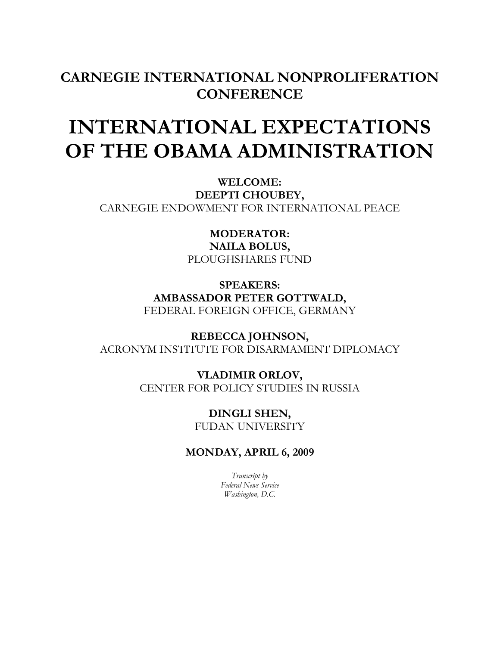## CARNEGIE INTERNATIONAL NONPROLIFERATION **CONFERENCE**

# INTERNATIONAL EXPECTATIONS OF THE OBAMA ADMINISTRATION

WELCOME: DEEPTI CHOUBEY, CARNEGIE ENDOWMENT FOR INTERNATIONAL PEACE

> MODERATOR: NAILA BOLUS, PLOUGHSHARES FUND

SPEAKERS: AMBASSADOR PETER GOTTWALD, FEDERAL FOREIGN OFFICE, GERMANY

REBECCA JOHNSON, ACRONYM INSTITUTE FOR DISARMAMENT DIPLOMACY

> VLADIMIR ORLOV, CENTER FOR POLICY STUDIES IN RUSSIA

> > DINGLI SHEN, FUDAN UNIVERSITY

### MONDAY, APRIL 6, 2009

Transcript by Federal News Service Washington, D.C.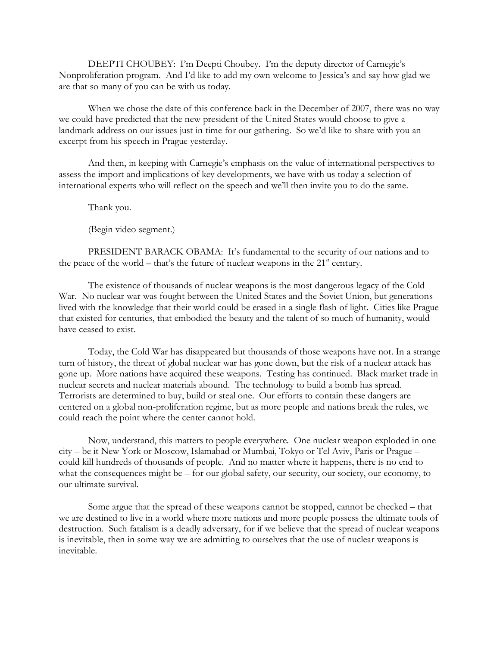DEEPTI CHOUBEY: I'm Deepti Choubey. I'm the deputy director of Carnegie's Nonproliferation program. And I'd like to add my own welcome to Jessica's and say how glad we are that so many of you can be with us today.

When we chose the date of this conference back in the December of 2007, there was no way we could have predicted that the new president of the United States would choose to give a landmark address on our issues just in time for our gathering. So we'd like to share with you an excerpt from his speech in Prague yesterday.

And then, in keeping with Carnegie's emphasis on the value of international perspectives to assess the import and implications of key developments, we have with us today a selection of international experts who will reflect on the speech and we'll then invite you to do the same.

Thank you.

(Begin video segment.)

PRESIDENT BARACK OBAMA: It's fundamental to the security of our nations and to the peace of the world – that's the future of nuclear weapons in the  $21<sup>st</sup>$  century.

The existence of thousands of nuclear weapons is the most dangerous legacy of the Cold War. No nuclear war was fought between the United States and the Soviet Union, but generations lived with the knowledge that their world could be erased in a single flash of light. Cities like Prague that existed for centuries, that embodied the beauty and the talent of so much of humanity, would have ceased to exist.

Today, the Cold War has disappeared but thousands of those weapons have not. In a strange turn of history, the threat of global nuclear war has gone down, but the risk of a nuclear attack has gone up. More nations have acquired these weapons. Testing has continued. Black market trade in nuclear secrets and nuclear materials abound. The technology to build a bomb has spread. Terrorists are determined to buy, build or steal one. Our efforts to contain these dangers are centered on a global non-proliferation regime, but as more people and nations break the rules, we could reach the point where the center cannot hold.

Now, understand, this matters to people everywhere. One nuclear weapon exploded in one city – be it New York or Moscow, Islamabad or Mumbai, Tokyo or Tel Aviv, Paris or Prague – could kill hundreds of thousands of people. And no matter where it happens, there is no end to what the consequences might be – for our global safety, our security, our society, our economy, to our ultimate survival.

Some argue that the spread of these weapons cannot be stopped, cannot be checked – that we are destined to live in a world where more nations and more people possess the ultimate tools of destruction. Such fatalism is a deadly adversary, for if we believe that the spread of nuclear weapons is inevitable, then in some way we are admitting to ourselves that the use of nuclear weapons is inevitable.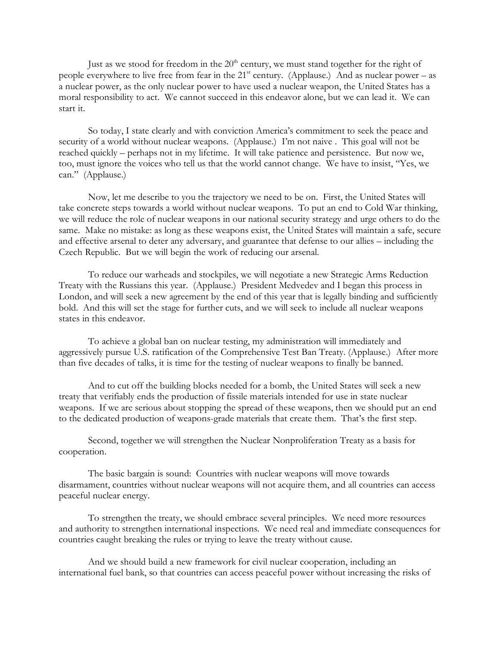Just as we stood for freedom in the  $20<sup>th</sup>$  century, we must stand together for the right of people everywhere to live free from fear in the  $21<sup>st</sup>$  century. (Applause.) And as nuclear power – as a nuclear power, as the only nuclear power to have used a nuclear weapon, the United States has a moral responsibility to act. We cannot succeed in this endeavor alone, but we can lead it. We can start it.

So today, I state clearly and with conviction America's commitment to seek the peace and security of a world without nuclear weapons. (Applause.) I'm not naive . This goal will not be reached quickly – perhaps not in my lifetime. It will take patience and persistence. But now we, too, must ignore the voices who tell us that the world cannot change. We have to insist, "Yes, we can." (Applause.)

Now, let me describe to you the trajectory we need to be on. First, the United States will take concrete steps towards a world without nuclear weapons. To put an end to Cold War thinking, we will reduce the role of nuclear weapons in our national security strategy and urge others to do the same. Make no mistake: as long as these weapons exist, the United States will maintain a safe, secure and effective arsenal to deter any adversary, and guarantee that defense to our allies – including the Czech Republic. But we will begin the work of reducing our arsenal.

To reduce our warheads and stockpiles, we will negotiate a new Strategic Arms Reduction Treaty with the Russians this year. (Applause.) President Medvedev and I began this process in London, and will seek a new agreement by the end of this year that is legally binding and sufficiently bold. And this will set the stage for further cuts, and we will seek to include all nuclear weapons states in this endeavor.

To achieve a global ban on nuclear testing, my administration will immediately and aggressively pursue U.S. ratification of the Comprehensive Test Ban Treaty. (Applause.) After more than five decades of talks, it is time for the testing of nuclear weapons to finally be banned.

And to cut off the building blocks needed for a bomb, the United States will seek a new treaty that verifiably ends the production of fissile materials intended for use in state nuclear weapons. If we are serious about stopping the spread of these weapons, then we should put an end to the dedicated production of weapons-grade materials that create them. That's the first step.

Second, together we will strengthen the Nuclear Nonproliferation Treaty as a basis for cooperation.

The basic bargain is sound: Countries with nuclear weapons will move towards disarmament, countries without nuclear weapons will not acquire them, and all countries can access peaceful nuclear energy.

To strengthen the treaty, we should embrace several principles. We need more resources and authority to strengthen international inspections. We need real and immediate consequences for countries caught breaking the rules or trying to leave the treaty without cause.

And we should build a new framework for civil nuclear cooperation, including an international fuel bank, so that countries can access peaceful power without increasing the risks of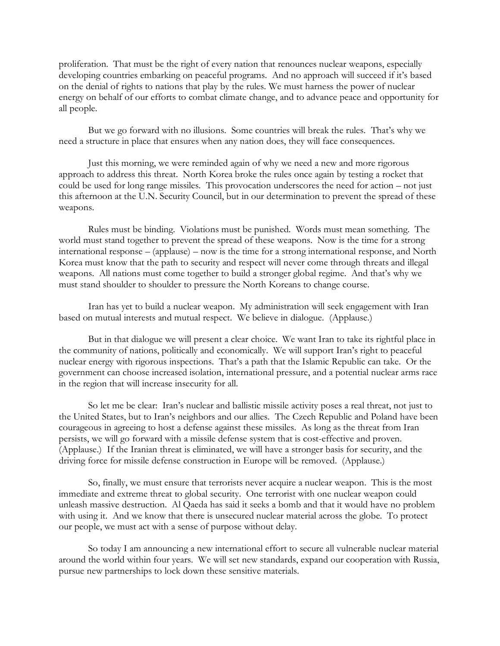proliferation. That must be the right of every nation that renounces nuclear weapons, especially developing countries embarking on peaceful programs. And no approach will succeed if it's based on the denial of rights to nations that play by the rules. We must harness the power of nuclear energy on behalf of our efforts to combat climate change, and to advance peace and opportunity for all people.

But we go forward with no illusions. Some countries will break the rules. That's why we need a structure in place that ensures when any nation does, they will face consequences.

Just this morning, we were reminded again of why we need a new and more rigorous approach to address this threat. North Korea broke the rules once again by testing a rocket that could be used for long range missiles. This provocation underscores the need for action – not just this afternoon at the U.N. Security Council, but in our determination to prevent the spread of these weapons.

Rules must be binding. Violations must be punished. Words must mean something. The world must stand together to prevent the spread of these weapons. Now is the time for a strong international response – (applause) – now is the time for a strong international response, and North Korea must know that the path to security and respect will never come through threats and illegal weapons. All nations must come together to build a stronger global regime. And that's why we must stand shoulder to shoulder to pressure the North Koreans to change course.

Iran has yet to build a nuclear weapon. My administration will seek engagement with Iran based on mutual interests and mutual respect. We believe in dialogue. (Applause.)

But in that dialogue we will present a clear choice. We want Iran to take its rightful place in the community of nations, politically and economically. We will support Iran's right to peaceful nuclear energy with rigorous inspections. That's a path that the Islamic Republic can take. Or the government can choose increased isolation, international pressure, and a potential nuclear arms race in the region that will increase insecurity for all.

So let me be clear: Iran's nuclear and ballistic missile activity poses a real threat, not just to the United States, but to Iran's neighbors and our allies. The Czech Republic and Poland have been courageous in agreeing to host a defense against these missiles. As long as the threat from Iran persists, we will go forward with a missile defense system that is cost-effective and proven. (Applause.) If the Iranian threat is eliminated, we will have a stronger basis for security, and the driving force for missile defense construction in Europe will be removed. (Applause.)

So, finally, we must ensure that terrorists never acquire a nuclear weapon. This is the most immediate and extreme threat to global security. One terrorist with one nuclear weapon could unleash massive destruction. Al Qaeda has said it seeks a bomb and that it would have no problem with using it. And we know that there is unsecured nuclear material across the globe. To protect our people, we must act with a sense of purpose without delay.

So today I am announcing a new international effort to secure all vulnerable nuclear material around the world within four years. We will set new standards, expand our cooperation with Russia, pursue new partnerships to lock down these sensitive materials.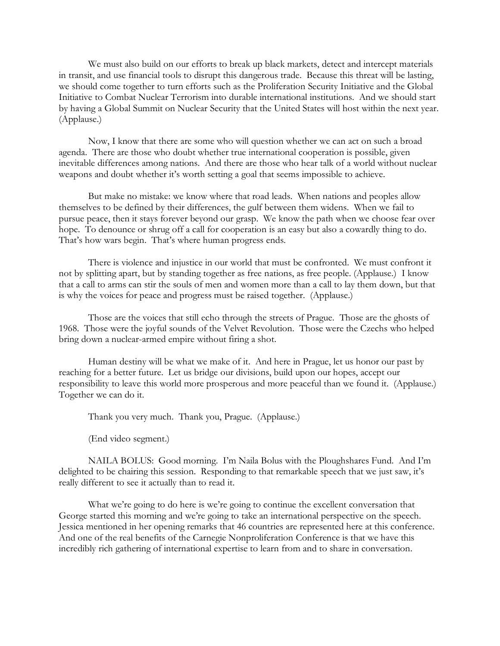We must also build on our efforts to break up black markets, detect and intercept materials in transit, and use financial tools to disrupt this dangerous trade. Because this threat will be lasting, we should come together to turn efforts such as the Proliferation Security Initiative and the Global Initiative to Combat Nuclear Terrorism into durable international institutions. And we should start by having a Global Summit on Nuclear Security that the United States will host within the next year. (Applause.)

Now, I know that there are some who will question whether we can act on such a broad agenda. There are those who doubt whether true international cooperation is possible, given inevitable differences among nations. And there are those who hear talk of a world without nuclear weapons and doubt whether it's worth setting a goal that seems impossible to achieve.

But make no mistake: we know where that road leads. When nations and peoples allow themselves to be defined by their differences, the gulf between them widens. When we fail to pursue peace, then it stays forever beyond our grasp. We know the path when we choose fear over hope. To denounce or shrug off a call for cooperation is an easy but also a cowardly thing to do. That's how wars begin. That's where human progress ends.

There is violence and injustice in our world that must be confronted. We must confront it not by splitting apart, but by standing together as free nations, as free people. (Applause.) I know that a call to arms can stir the souls of men and women more than a call to lay them down, but that is why the voices for peace and progress must be raised together. (Applause.)

Those are the voices that still echo through the streets of Prague. Those are the ghosts of 1968. Those were the joyful sounds of the Velvet Revolution. Those were the Czechs who helped bring down a nuclear-armed empire without firing a shot.

Human destiny will be what we make of it. And here in Prague, let us honor our past by reaching for a better future. Let us bridge our divisions, build upon our hopes, accept our responsibility to leave this world more prosperous and more peaceful than we found it. (Applause.) Together we can do it.

Thank you very much. Thank you, Prague. (Applause.)

(End video segment.)

NAILA BOLUS: Good morning. I'm Naila Bolus with the Ploughshares Fund. And I'm delighted to be chairing this session. Responding to that remarkable speech that we just saw, it's really different to see it actually than to read it.

What we're going to do here is we're going to continue the excellent conversation that George started this morning and we're going to take an international perspective on the speech. Jessica mentioned in her opening remarks that 46 countries are represented here at this conference. And one of the real benefits of the Carnegie Nonproliferation Conference is that we have this incredibly rich gathering of international expertise to learn from and to share in conversation.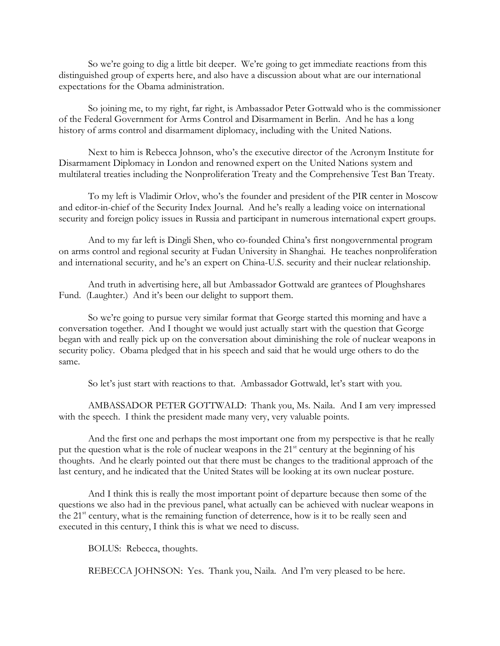So we're going to dig a little bit deeper. We're going to get immediate reactions from this distinguished group of experts here, and also have a discussion about what are our international expectations for the Obama administration.

So joining me, to my right, far right, is Ambassador Peter Gottwald who is the commissioner of the Federal Government for Arms Control and Disarmament in Berlin. And he has a long history of arms control and disarmament diplomacy, including with the United Nations.

Next to him is Rebecca Johnson, who's the executive director of the Acronym Institute for Disarmament Diplomacy in London and renowned expert on the United Nations system and multilateral treaties including the Nonproliferation Treaty and the Comprehensive Test Ban Treaty.

To my left is Vladimir Orlov, who's the founder and president of the PIR center in Moscow and editor-in-chief of the Security Index Journal. And he's really a leading voice on international security and foreign policy issues in Russia and participant in numerous international expert groups.

And to my far left is Dingli Shen, who co-founded China's first nongovernmental program on arms control and regional security at Fudan University in Shanghai. He teaches nonproliferation and international security, and he's an expert on China-U.S. security and their nuclear relationship.

And truth in advertising here, all but Ambassador Gottwald are grantees of Ploughshares Fund. (Laughter.) And it's been our delight to support them.

So we're going to pursue very similar format that George started this morning and have a conversation together. And I thought we would just actually start with the question that George began with and really pick up on the conversation about diminishing the role of nuclear weapons in security policy. Obama pledged that in his speech and said that he would urge others to do the same.

So let's just start with reactions to that. Ambassador Gottwald, let's start with you.

AMBASSADOR PETER GOTTWALD: Thank you, Ms. Naila. And I am very impressed with the speech. I think the president made many very, very valuable points.

And the first one and perhaps the most important one from my perspective is that he really put the question what is the role of nuclear weapons in the  $21<sup>st</sup>$  century at the beginning of his thoughts. And he clearly pointed out that there must be changes to the traditional approach of the last century, and he indicated that the United States will be looking at its own nuclear posture.

And I think this is really the most important point of departure because then some of the questions we also had in the previous panel, what actually can be achieved with nuclear weapons in the 21<sup>st</sup> century, what is the remaining function of deterrence, how is it to be really seen and executed in this century, I think this is what we need to discuss.

BOLUS: Rebecca, thoughts.

REBECCA JOHNSON: Yes. Thank you, Naila. And I'm very pleased to be here.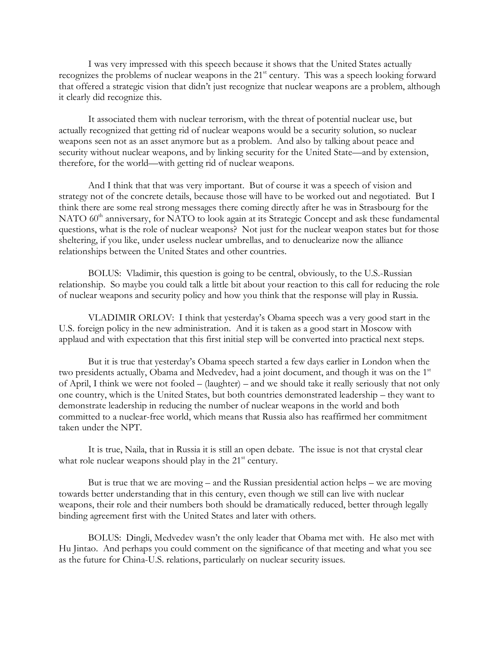I was very impressed with this speech because it shows that the United States actually recognizes the problems of nuclear weapons in the 21<sup>st</sup> century. This was a speech looking forward that offered a strategic vision that didn't just recognize that nuclear weapons are a problem, although it clearly did recognize this.

It associated them with nuclear terrorism, with the threat of potential nuclear use, but actually recognized that getting rid of nuclear weapons would be a security solution, so nuclear weapons seen not as an asset anymore but as a problem. And also by talking about peace and security without nuclear weapons, and by linking security for the United State—and by extension, therefore, for the world—with getting rid of nuclear weapons.

And I think that that was very important. But of course it was a speech of vision and strategy not of the concrete details, because those will have to be worked out and negotiated. But I think there are some real strong messages there coming directly after he was in Strasbourg for the NATO  $60<sup>th</sup>$  anniversary, for NATO to look again at its Strategic Concept and ask these fundamental questions, what is the role of nuclear weapons? Not just for the nuclear weapon states but for those sheltering, if you like, under useless nuclear umbrellas, and to denuclearize now the alliance relationships between the United States and other countries.

BOLUS: Vladimir, this question is going to be central, obviously, to the U.S.-Russian relationship. So maybe you could talk a little bit about your reaction to this call for reducing the role of nuclear weapons and security policy and how you think that the response will play in Russia.

VLADIMIR ORLOV: I think that yesterday's Obama speech was a very good start in the U.S. foreign policy in the new administration. And it is taken as a good start in Moscow with applaud and with expectation that this first initial step will be converted into practical next steps.

But it is true that yesterday's Obama speech started a few days earlier in London when the two presidents actually, Obama and Medvedev, had a joint document, and though it was on the 1<sup>st</sup> of April, I think we were not fooled – (laughter) – and we should take it really seriously that not only one country, which is the United States, but both countries demonstrated leadership – they want to demonstrate leadership in reducing the number of nuclear weapons in the world and both committed to a nuclear-free world, which means that Russia also has reaffirmed her commitment taken under the NPT.

It is true, Naila, that in Russia it is still an open debate. The issue is not that crystal clear what role nuclear weapons should play in the  $21<sup>st</sup>$  century.

But is true that we are moving – and the Russian presidential action helps – we are moving towards better understanding that in this century, even though we still can live with nuclear weapons, their role and their numbers both should be dramatically reduced, better through legally binding agreement first with the United States and later with others.

BOLUS: Dingli, Medvedev wasn't the only leader that Obama met with. He also met with Hu Jintao. And perhaps you could comment on the significance of that meeting and what you see as the future for China-U.S. relations, particularly on nuclear security issues.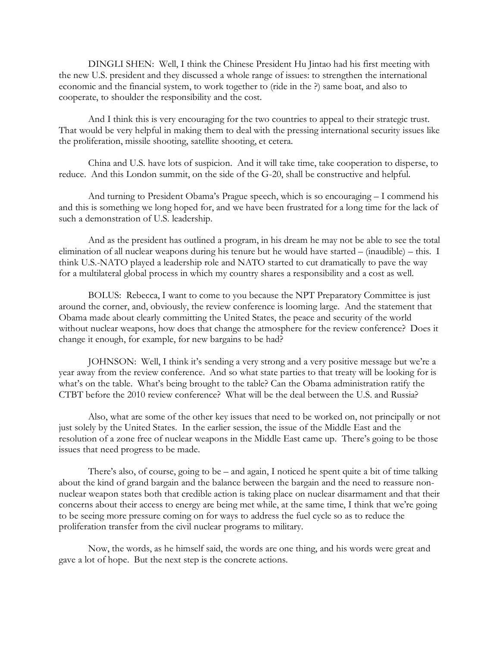DINGLI SHEN: Well, I think the Chinese President Hu Jintao had his first meeting with the new U.S. president and they discussed a whole range of issues: to strengthen the international economic and the financial system, to work together to (ride in the ?) same boat, and also to cooperate, to shoulder the responsibility and the cost.

And I think this is very encouraging for the two countries to appeal to their strategic trust. That would be very helpful in making them to deal with the pressing international security issues like the proliferation, missile shooting, satellite shooting, et cetera.

China and U.S. have lots of suspicion. And it will take time, take cooperation to disperse, to reduce. And this London summit, on the side of the G-20, shall be constructive and helpful.

And turning to President Obama's Prague speech, which is so encouraging – I commend his and this is something we long hoped for, and we have been frustrated for a long time for the lack of such a demonstration of U.S. leadership.

And as the president has outlined a program, in his dream he may not be able to see the total elimination of all nuclear weapons during his tenure but he would have started – (inaudible) – this. I think U.S.-NATO played a leadership role and NATO started to cut dramatically to pave the way for a multilateral global process in which my country shares a responsibility and a cost as well.

BOLUS: Rebecca, I want to come to you because the NPT Preparatory Committee is just around the corner, and, obviously, the review conference is looming large. And the statement that Obama made about clearly committing the United States, the peace and security of the world without nuclear weapons, how does that change the atmosphere for the review conference? Does it change it enough, for example, for new bargains to be had?

JOHNSON: Well, I think it's sending a very strong and a very positive message but we're a year away from the review conference. And so what state parties to that treaty will be looking for is what's on the table. What's being brought to the table? Can the Obama administration ratify the CTBT before the 2010 review conference? What will be the deal between the U.S. and Russia?

Also, what are some of the other key issues that need to be worked on, not principally or not just solely by the United States. In the earlier session, the issue of the Middle East and the resolution of a zone free of nuclear weapons in the Middle East came up. There's going to be those issues that need progress to be made.

There's also, of course, going to be – and again, I noticed he spent quite a bit of time talking about the kind of grand bargain and the balance between the bargain and the need to reassure nonnuclear weapon states both that credible action is taking place on nuclear disarmament and that their concerns about their access to energy are being met while, at the same time, I think that we're going to be seeing more pressure coming on for ways to address the fuel cycle so as to reduce the proliferation transfer from the civil nuclear programs to military.

Now, the words, as he himself said, the words are one thing, and his words were great and gave a lot of hope. But the next step is the concrete actions.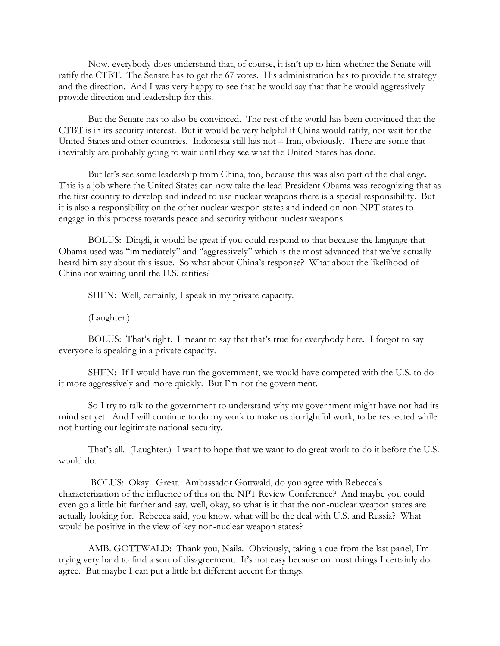Now, everybody does understand that, of course, it isn't up to him whether the Senate will ratify the CTBT. The Senate has to get the 67 votes. His administration has to provide the strategy and the direction. And I was very happy to see that he would say that that he would aggressively provide direction and leadership for this.

But the Senate has to also be convinced. The rest of the world has been convinced that the CTBT is in its security interest. But it would be very helpful if China would ratify, not wait for the United States and other countries. Indonesia still has not – Iran, obviously. There are some that inevitably are probably going to wait until they see what the United States has done.

But let's see some leadership from China, too, because this was also part of the challenge. This is a job where the United States can now take the lead President Obama was recognizing that as the first country to develop and indeed to use nuclear weapons there is a special responsibility. But it is also a responsibility on the other nuclear weapon states and indeed on non-NPT states to engage in this process towards peace and security without nuclear weapons.

BOLUS: Dingli, it would be great if you could respond to that because the language that Obama used was "immediately" and "aggressively" which is the most advanced that we've actually heard him say about this issue. So what about China's response? What about the likelihood of China not waiting until the U.S. ratifies?

SHEN: Well, certainly, I speak in my private capacity.

(Laughter.)

BOLUS: That's right. I meant to say that that's true for everybody here. I forgot to say everyone is speaking in a private capacity.

SHEN: If I would have run the government, we would have competed with the U.S. to do it more aggressively and more quickly. But I'm not the government.

So I try to talk to the government to understand why my government might have not had its mind set yet. And I will continue to do my work to make us do rightful work, to be respected while not hurting our legitimate national security.

That's all. (Laughter.) I want to hope that we want to do great work to do it before the U.S. would do.

 BOLUS: Okay. Great. Ambassador Gottwald, do you agree with Rebecca's characterization of the influence of this on the NPT Review Conference? And maybe you could even go a little bit further and say, well, okay, so what is it that the non-nuclear weapon states are actually looking for. Rebecca said, you know, what will be the deal with U.S. and Russia? What would be positive in the view of key non-nuclear weapon states?

AMB. GOTTWALD: Thank you, Naila. Obviously, taking a cue from the last panel, I'm trying very hard to find a sort of disagreement. It's not easy because on most things I certainly do agree. But maybe I can put a little bit different accent for things.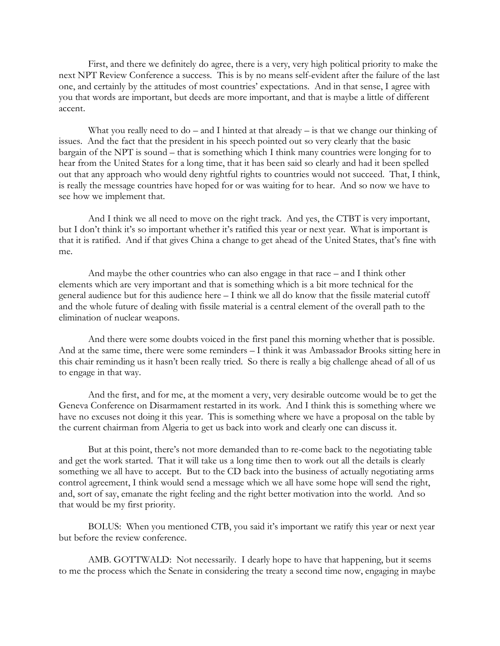First, and there we definitely do agree, there is a very, very high political priority to make the next NPT Review Conference a success. This is by no means self-evident after the failure of the last one, and certainly by the attitudes of most countries' expectations. And in that sense, I agree with you that words are important, but deeds are more important, and that is maybe a little of different accent.

What you really need to  $do$  – and I hinted at that already – is that we change our thinking of issues. And the fact that the president in his speech pointed out so very clearly that the basic bargain of the NPT is sound – that is something which I think many countries were longing for to hear from the United States for a long time, that it has been said so clearly and had it been spelled out that any approach who would deny rightful rights to countries would not succeed. That, I think, is really the message countries have hoped for or was waiting for to hear. And so now we have to see how we implement that.

And I think we all need to move on the right track. And yes, the CTBT is very important, but I don't think it's so important whether it's ratified this year or next year. What is important is that it is ratified. And if that gives China a change to get ahead of the United States, that's fine with me.

And maybe the other countries who can also engage in that race – and I think other elements which are very important and that is something which is a bit more technical for the general audience but for this audience here – I think we all do know that the fissile material cutoff and the whole future of dealing with fissile material is a central element of the overall path to the elimination of nuclear weapons.

And there were some doubts voiced in the first panel this morning whether that is possible. And at the same time, there were some reminders – I think it was Ambassador Brooks sitting here in this chair reminding us it hasn't been really tried. So there is really a big challenge ahead of all of us to engage in that way.

And the first, and for me, at the moment a very, very desirable outcome would be to get the Geneva Conference on Disarmament restarted in its work. And I think this is something where we have no excuses not doing it this year. This is something where we have a proposal on the table by the current chairman from Algeria to get us back into work and clearly one can discuss it.

But at this point, there's not more demanded than to re-come back to the negotiating table and get the work started. That it will take us a long time then to work out all the details is clearly something we all have to accept. But to the CD back into the business of actually negotiating arms control agreement, I think would send a message which we all have some hope will send the right, and, sort of say, emanate the right feeling and the right better motivation into the world. And so that would be my first priority.

BOLUS: When you mentioned CTB, you said it's important we ratify this year or next year but before the review conference.

AMB. GOTTWALD: Not necessarily. I dearly hope to have that happening, but it seems to me the process which the Senate in considering the treaty a second time now, engaging in maybe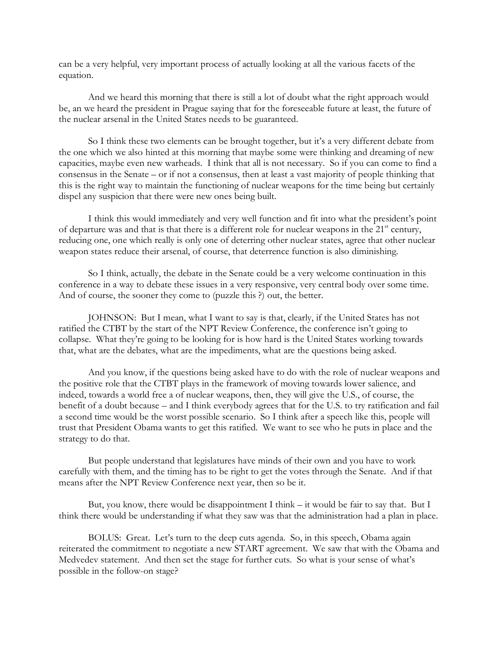can be a very helpful, very important process of actually looking at all the various facets of the equation.

And we heard this morning that there is still a lot of doubt what the right approach would be, an we heard the president in Prague saying that for the foreseeable future at least, the future of the nuclear arsenal in the United States needs to be guaranteed.

So I think these two elements can be brought together, but it's a very different debate from the one which we also hinted at this morning that maybe some were thinking and dreaming of new capacities, maybe even new warheads. I think that all is not necessary. So if you can come to find a consensus in the Senate – or if not a consensus, then at least a vast majority of people thinking that this is the right way to maintain the functioning of nuclear weapons for the time being but certainly dispel any suspicion that there were new ones being built.

I think this would immediately and very well function and fit into what the president's point of departure was and that is that there is a different role for nuclear weapons in the 21<sup>st</sup> century, reducing one, one which really is only one of deterring other nuclear states, agree that other nuclear weapon states reduce their arsenal, of course, that deterrence function is also diminishing.

So I think, actually, the debate in the Senate could be a very welcome continuation in this conference in a way to debate these issues in a very responsive, very central body over some time. And of course, the sooner they come to (puzzle this ?) out, the better.

JOHNSON: But I mean, what I want to say is that, clearly, if the United States has not ratified the CTBT by the start of the NPT Review Conference, the conference isn't going to collapse. What they're going to be looking for is how hard is the United States working towards that, what are the debates, what are the impediments, what are the questions being asked.

And you know, if the questions being asked have to do with the role of nuclear weapons and the positive role that the CTBT plays in the framework of moving towards lower salience, and indeed, towards a world free a of nuclear weapons, then, they will give the U.S., of course, the benefit of a doubt because – and I think everybody agrees that for the U.S. to try ratification and fail a second time would be the worst possible scenario. So I think after a speech like this, people will trust that President Obama wants to get this ratified. We want to see who he puts in place and the strategy to do that.

But people understand that legislatures have minds of their own and you have to work carefully with them, and the timing has to be right to get the votes through the Senate. And if that means after the NPT Review Conference next year, then so be it.

But, you know, there would be disappointment I think – it would be fair to say that. But I think there would be understanding if what they saw was that the administration had a plan in place.

BOLUS: Great. Let's turn to the deep cuts agenda. So, in this speech, Obama again reiterated the commitment to negotiate a new START agreement. We saw that with the Obama and Medvedev statement. And then set the stage for further cuts. So what is your sense of what's possible in the follow-on stage?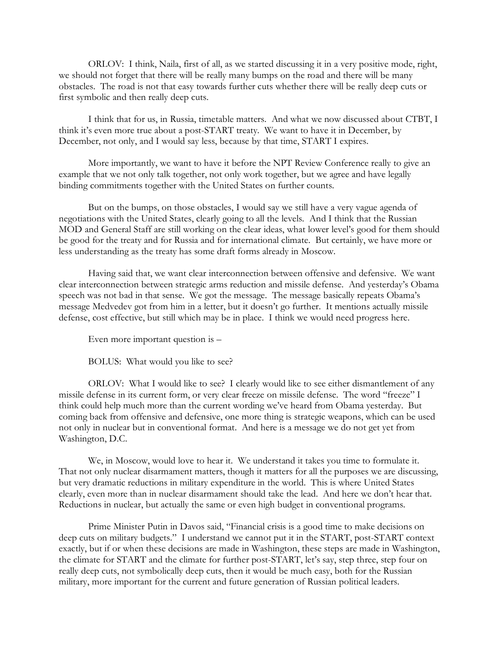ORLOV: I think, Naila, first of all, as we started discussing it in a very positive mode, right, we should not forget that there will be really many bumps on the road and there will be many obstacles. The road is not that easy towards further cuts whether there will be really deep cuts or first symbolic and then really deep cuts.

I think that for us, in Russia, timetable matters. And what we now discussed about CTBT, I think it's even more true about a post-START treaty. We want to have it in December, by December, not only, and I would say less, because by that time, START I expires.

More importantly, we want to have it before the NPT Review Conference really to give an example that we not only talk together, not only work together, but we agree and have legally binding commitments together with the United States on further counts.

But on the bumps, on those obstacles, I would say we still have a very vague agenda of negotiations with the United States, clearly going to all the levels. And I think that the Russian MOD and General Staff are still working on the clear ideas, what lower level's good for them should be good for the treaty and for Russia and for international climate. But certainly, we have more or less understanding as the treaty has some draft forms already in Moscow.

Having said that, we want clear interconnection between offensive and defensive. We want clear interconnection between strategic arms reduction and missile defense. And yesterday's Obama speech was not bad in that sense. We got the message. The message basically repeats Obama's message Medvedev got from him in a letter, but it doesn't go further. It mentions actually missile defense, cost effective, but still which may be in place. I think we would need progress here.

Even more important question is –

BOLUS: What would you like to see?

ORLOV: What I would like to see? I clearly would like to see either dismantlement of any missile defense in its current form, or very clear freeze on missile defense. The word "freeze" I think could help much more than the current wording we've heard from Obama yesterday. But coming back from offensive and defensive, one more thing is strategic weapons, which can be used not only in nuclear but in conventional format. And here is a message we do not get yet from Washington, D.C.

We, in Moscow, would love to hear it. We understand it takes you time to formulate it. That not only nuclear disarmament matters, though it matters for all the purposes we are discussing, but very dramatic reductions in military expenditure in the world. This is where United States clearly, even more than in nuclear disarmament should take the lead. And here we don't hear that. Reductions in nuclear, but actually the same or even high budget in conventional programs.

Prime Minister Putin in Davos said, "Financial crisis is a good time to make decisions on deep cuts on military budgets." I understand we cannot put it in the START, post-START context exactly, but if or when these decisions are made in Washington, these steps are made in Washington, the climate for START and the climate for further post-START, let's say, step three, step four on really deep cuts, not symbolically deep cuts, then it would be much easy, both for the Russian military, more important for the current and future generation of Russian political leaders.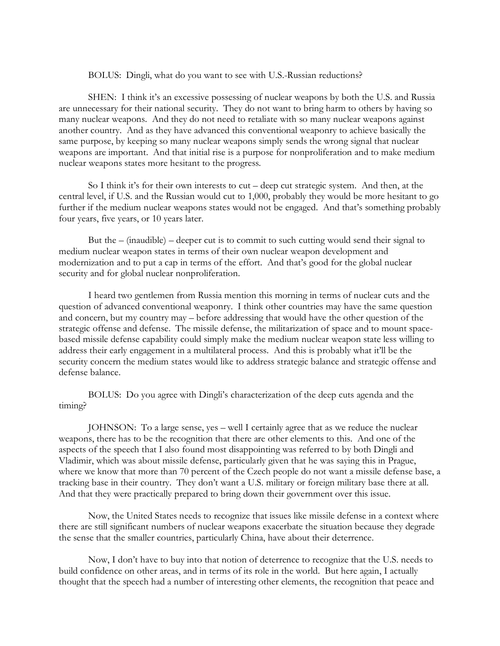BOLUS: Dingli, what do you want to see with U.S.-Russian reductions?

SHEN: I think it's an excessive possessing of nuclear weapons by both the U.S. and Russia are unnecessary for their national security. They do not want to bring harm to others by having so many nuclear weapons. And they do not need to retaliate with so many nuclear weapons against another country. And as they have advanced this conventional weaponry to achieve basically the same purpose, by keeping so many nuclear weapons simply sends the wrong signal that nuclear weapons are important. And that initial rise is a purpose for nonproliferation and to make medium nuclear weapons states more hesitant to the progress.

So I think it's for their own interests to cut – deep cut strategic system. And then, at the central level, if U.S. and the Russian would cut to 1,000, probably they would be more hesitant to go further if the medium nuclear weapons states would not be engaged. And that's something probably four years, five years, or 10 years later.

But the  $-$  (inaudible)  $-$  deeper cut is to commit to such cutting would send their signal to medium nuclear weapon states in terms of their own nuclear weapon development and modernization and to put a cap in terms of the effort. And that's good for the global nuclear security and for global nuclear nonproliferation.

I heard two gentlemen from Russia mention this morning in terms of nuclear cuts and the question of advanced conventional weaponry. I think other countries may have the same question and concern, but my country may – before addressing that would have the other question of the strategic offense and defense. The missile defense, the militarization of space and to mount spacebased missile defense capability could simply make the medium nuclear weapon state less willing to address their early engagement in a multilateral process. And this is probably what it'll be the security concern the medium states would like to address strategic balance and strategic offense and defense balance.

BOLUS: Do you agree with Dingli's characterization of the deep cuts agenda and the timing?

JOHNSON: To a large sense, yes – well I certainly agree that as we reduce the nuclear weapons, there has to be the recognition that there are other elements to this. And one of the aspects of the speech that I also found most disappointing was referred to by both Dingli and Vladimir, which was about missile defense, particularly given that he was saying this in Prague, where we know that more than 70 percent of the Czech people do not want a missile defense base, a tracking base in their country. They don't want a U.S. military or foreign military base there at all. And that they were practically prepared to bring down their government over this issue.

Now, the United States needs to recognize that issues like missile defense in a context where there are still significant numbers of nuclear weapons exacerbate the situation because they degrade the sense that the smaller countries, particularly China, have about their deterrence.

Now, I don't have to buy into that notion of deterrence to recognize that the U.S. needs to build confidence on other areas, and in terms of its role in the world. But here again, I actually thought that the speech had a number of interesting other elements, the recognition that peace and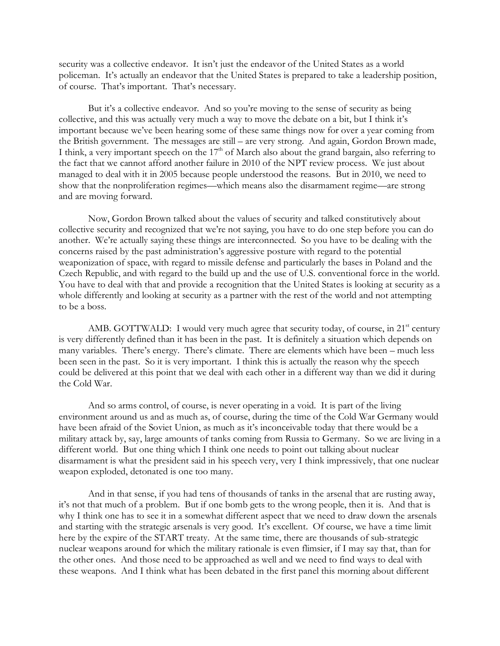security was a collective endeavor. It isn't just the endeavor of the United States as a world policeman. It's actually an endeavor that the United States is prepared to take a leadership position, of course. That's important. That's necessary.

But it's a collective endeavor. And so you're moving to the sense of security as being collective, and this was actually very much a way to move the debate on a bit, but I think it's important because we've been hearing some of these same things now for over a year coming from the British government. The messages are still – are very strong. And again, Gordon Brown made, I think, a very important speech on the  $17<sup>th</sup>$  of March also about the grand bargain, also referring to the fact that we cannot afford another failure in 2010 of the NPT review process. We just about managed to deal with it in 2005 because people understood the reasons. But in 2010, we need to show that the nonproliferation regimes—which means also the disarmament regime—are strong and are moving forward.

Now, Gordon Brown talked about the values of security and talked constitutively about collective security and recognized that we're not saying, you have to do one step before you can do another. We're actually saying these things are interconnected. So you have to be dealing with the concerns raised by the past administration's aggressive posture with regard to the potential weaponization of space, with regard to missile defense and particularly the bases in Poland and the Czech Republic, and with regard to the build up and the use of U.S. conventional force in the world. You have to deal with that and provide a recognition that the United States is looking at security as a whole differently and looking at security as a partner with the rest of the world and not attempting to be a boss.

AMB. GOTTWALD: I would very much agree that security today, of course, in 21<sup>st</sup> century is very differently defined than it has been in the past. It is definitely a situation which depends on many variables. There's energy. There's climate. There are elements which have been – much less been seen in the past. So it is very important. I think this is actually the reason why the speech could be delivered at this point that we deal with each other in a different way than we did it during the Cold War.

And so arms control, of course, is never operating in a void. It is part of the living environment around us and as much as, of course, during the time of the Cold War Germany would have been afraid of the Soviet Union, as much as it's inconceivable today that there would be a military attack by, say, large amounts of tanks coming from Russia to Germany. So we are living in a different world. But one thing which I think one needs to point out talking about nuclear disarmament is what the president said in his speech very, very I think impressively, that one nuclear weapon exploded, detonated is one too many.

And in that sense, if you had tens of thousands of tanks in the arsenal that are rusting away, it's not that much of a problem. But if one bomb gets to the wrong people, then it is. And that is why I think one has to see it in a somewhat different aspect that we need to draw down the arsenals and starting with the strategic arsenals is very good. It's excellent. Of course, we have a time limit here by the expire of the START treaty. At the same time, there are thousands of sub-strategic nuclear weapons around for which the military rationale is even flimsier, if I may say that, than for the other ones. And those need to be approached as well and we need to find ways to deal with these weapons. And I think what has been debated in the first panel this morning about different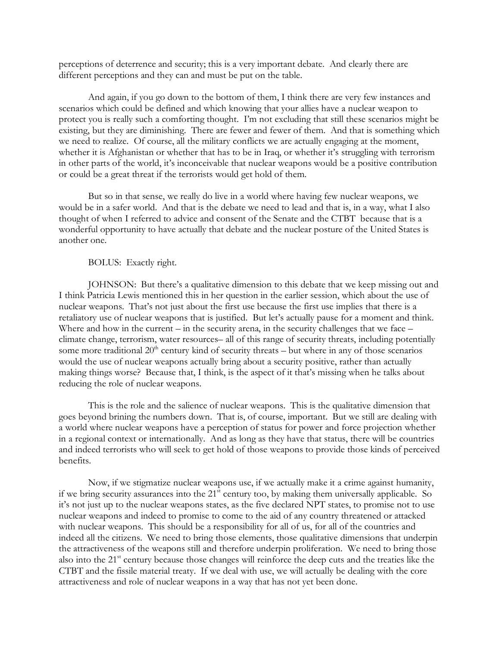perceptions of deterrence and security; this is a very important debate. And clearly there are different perceptions and they can and must be put on the table.

And again, if you go down to the bottom of them, I think there are very few instances and scenarios which could be defined and which knowing that your allies have a nuclear weapon to protect you is really such a comforting thought. I'm not excluding that still these scenarios might be existing, but they are diminishing. There are fewer and fewer of them. And that is something which we need to realize. Of course, all the military conflicts we are actually engaging at the moment, whether it is Afghanistan or whether that has to be in Iraq, or whether it's struggling with terrorism in other parts of the world, it's inconceivable that nuclear weapons would be a positive contribution or could be a great threat if the terrorists would get hold of them.

But so in that sense, we really do live in a world where having few nuclear weapons, we would be in a safer world. And that is the debate we need to lead and that is, in a way, what I also thought of when I referred to advice and consent of the Senate and the CTBT because that is a wonderful opportunity to have actually that debate and the nuclear posture of the United States is another one.

#### BOLUS: Exactly right.

JOHNSON: But there's a qualitative dimension to this debate that we keep missing out and I think Patricia Lewis mentioned this in her question in the earlier session, which about the use of nuclear weapons. That's not just about the first use because the first use implies that there is a retaliatory use of nuclear weapons that is justified. But let's actually pause for a moment and think. Where and how in the current – in the security arena, in the security challenges that we face  $$ climate change, terrorism, water resources– all of this range of security threats, including potentially some more traditional  $20<sup>th</sup>$  century kind of security threats – but where in any of those scenarios would the use of nuclear weapons actually bring about a security positive, rather than actually making things worse? Because that, I think, is the aspect of it that's missing when he talks about reducing the role of nuclear weapons.

This is the role and the salience of nuclear weapons. This is the qualitative dimension that goes beyond brining the numbers down. That is, of course, important. But we still are dealing with a world where nuclear weapons have a perception of status for power and force projection whether in a regional context or internationally. And as long as they have that status, there will be countries and indeed terrorists who will seek to get hold of those weapons to provide those kinds of perceived benefits.

Now, if we stigmatize nuclear weapons use, if we actually make it a crime against humanity, if we bring security assurances into the 21<sup>st</sup> century too, by making them universally applicable. So it's not just up to the nuclear weapons states, as the five declared NPT states, to promise not to use nuclear weapons and indeed to promise to come to the aid of any country threatened or attacked with nuclear weapons. This should be a responsibility for all of us, for all of the countries and indeed all the citizens. We need to bring those elements, those qualitative dimensions that underpin the attractiveness of the weapons still and therefore underpin proliferation. We need to bring those also into the 21<sup>st</sup> century because those changes will reinforce the deep cuts and the treaties like the CTBT and the fissile material treaty. If we deal with use, we will actually be dealing with the core attractiveness and role of nuclear weapons in a way that has not yet been done.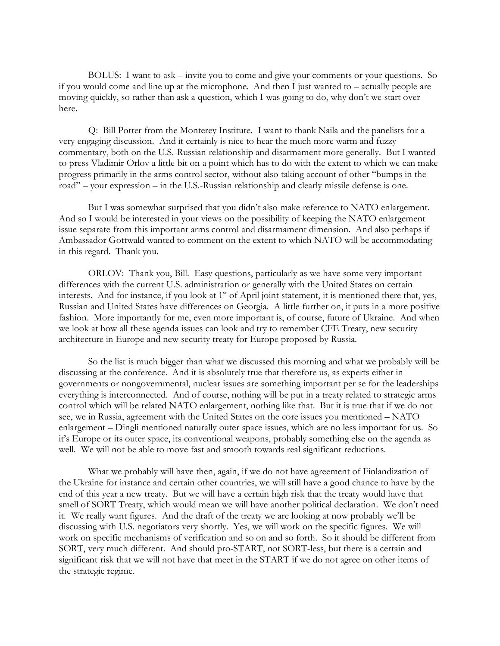BOLUS: I want to ask – invite you to come and give your comments or your questions. So if you would come and line up at the microphone. And then I just wanted to – actually people are moving quickly, so rather than ask a question, which I was going to do, why don't we start over here.

Q: Bill Potter from the Monterey Institute. I want to thank Naila and the panelists for a very engaging discussion. And it certainly is nice to hear the much more warm and fuzzy commentary, both on the U.S.-Russian relationship and disarmament more generally. But I wanted to press Vladimir Orlov a little bit on a point which has to do with the extent to which we can make progress primarily in the arms control sector, without also taking account of other "bumps in the road" – your expression – in the U.S.-Russian relationship and clearly missile defense is one.

But I was somewhat surprised that you didn't also make reference to NATO enlargement. And so I would be interested in your views on the possibility of keeping the NATO enlargement issue separate from this important arms control and disarmament dimension. And also perhaps if Ambassador Gottwald wanted to comment on the extent to which NATO will be accommodating in this regard. Thank you.

ORLOV: Thank you, Bill. Easy questions, particularly as we have some very important differences with the current U.S. administration or generally with the United States on certain interests. And for instance, if you look at 1<sup>st</sup> of April joint statement, it is mentioned there that, yes, Russian and United States have differences on Georgia. A little further on, it puts in a more positive fashion. More importantly for me, even more important is, of course, future of Ukraine. And when we look at how all these agenda issues can look and try to remember CFE Treaty, new security architecture in Europe and new security treaty for Europe proposed by Russia.

So the list is much bigger than what we discussed this morning and what we probably will be discussing at the conference. And it is absolutely true that therefore us, as experts either in governments or nongovernmental, nuclear issues are something important per se for the leaderships everything is interconnected. And of course, nothing will be put in a treaty related to strategic arms control which will be related NATO enlargement, nothing like that. But it is true that if we do not see, we in Russia, agreement with the United States on the core issues you mentioned – NATO enlargement – Dingli mentioned naturally outer space issues, which are no less important for us. So it's Europe or its outer space, its conventional weapons, probably something else on the agenda as well. We will not be able to move fast and smooth towards real significant reductions.

What we probably will have then, again, if we do not have agreement of Finlandization of the Ukraine for instance and certain other countries, we will still have a good chance to have by the end of this year a new treaty. But we will have a certain high risk that the treaty would have that smell of SORT Treaty, which would mean we will have another political declaration. We don't need it. We really want figures. And the draft of the treaty we are looking at now probably we'll be discussing with U.S. negotiators very shortly. Yes, we will work on the specific figures. We will work on specific mechanisms of verification and so on and so forth. So it should be different from SORT, very much different. And should pro-START, not SORT-less, but there is a certain and significant risk that we will not have that meet in the START if we do not agree on other items of the strategic regime.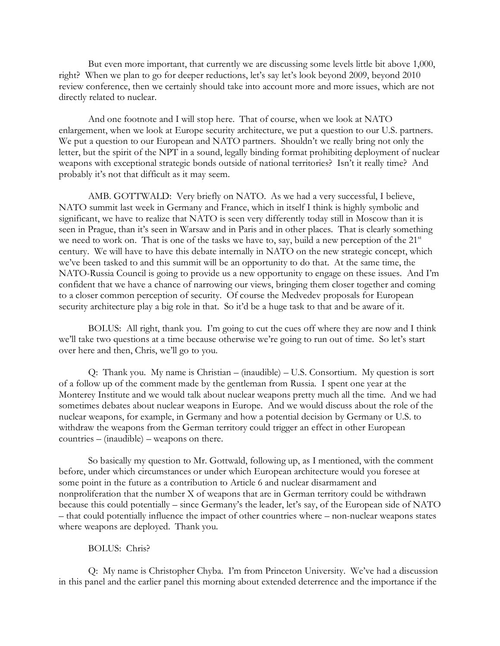But even more important, that currently we are discussing some levels little bit above 1,000, right? When we plan to go for deeper reductions, let's say let's look beyond 2009, beyond 2010 review conference, then we certainly should take into account more and more issues, which are not directly related to nuclear.

And one footnote and I will stop here. That of course, when we look at NATO enlargement, when we look at Europe security architecture, we put a question to our U.S. partners. We put a question to our European and NATO partners. Shouldn't we really bring not only the letter, but the spirit of the NPT in a sound, legally binding format prohibiting deployment of nuclear weapons with exceptional strategic bonds outside of national territories? Isn't it really time? And probably it's not that difficult as it may seem.

AMB. GOTTWALD: Very briefly on NATO. As we had a very successful, I believe, NATO summit last week in Germany and France, which in itself I think is highly symbolic and significant, we have to realize that NATO is seen very differently today still in Moscow than it is seen in Prague, than it's seen in Warsaw and in Paris and in other places. That is clearly something we need to work on. That is one of the tasks we have to, say, build a new perception of the  $21<sup>st</sup>$ century. We will have to have this debate internally in NATO on the new strategic concept, which we've been tasked to and this summit will be an opportunity to do that. At the same time, the NATO-Russia Council is going to provide us a new opportunity to engage on these issues. And I'm confident that we have a chance of narrowing our views, bringing them closer together and coming to a closer common perception of security. Of course the Medvedev proposals for European security architecture play a big role in that. So it'd be a huge task to that and be aware of it.

BOLUS: All right, thank you. I'm going to cut the cues off where they are now and I think we'll take two questions at a time because otherwise we're going to run out of time. So let's start over here and then, Chris, we'll go to you.

Q: Thank you. My name is Christian – (inaudible) – U.S. Consortium. My question is sort of a follow up of the comment made by the gentleman from Russia. I spent one year at the Monterey Institute and we would talk about nuclear weapons pretty much all the time. And we had sometimes debates about nuclear weapons in Europe. And we would discuss about the role of the nuclear weapons, for example, in Germany and how a potential decision by Germany or U.S. to withdraw the weapons from the German territory could trigger an effect in other European countries – (inaudible) – weapons on there.

So basically my question to Mr. Gottwald, following up, as I mentioned, with the comment before, under which circumstances or under which European architecture would you foresee at some point in the future as a contribution to Article 6 and nuclear disarmament and nonproliferation that the number X of weapons that are in German territory could be withdrawn because this could potentially – since Germany's the leader, let's say, of the European side of NATO – that could potentially influence the impact of other countries where – non-nuclear weapons states where weapons are deployed. Thank you.

#### BOLUS: Chris?

Q: My name is Christopher Chyba. I'm from Princeton University. We've had a discussion in this panel and the earlier panel this morning about extended deterrence and the importance if the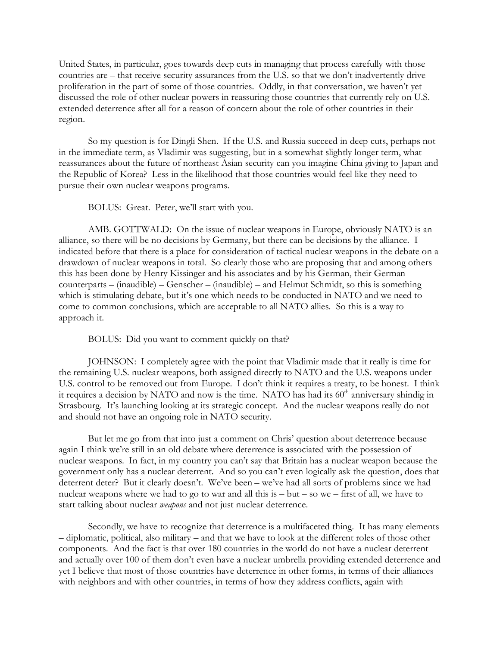United States, in particular, goes towards deep cuts in managing that process carefully with those countries are – that receive security assurances from the U.S. so that we don't inadvertently drive proliferation in the part of some of those countries. Oddly, in that conversation, we haven't yet discussed the role of other nuclear powers in reassuring those countries that currently rely on U.S. extended deterrence after all for a reason of concern about the role of other countries in their region.

So my question is for Dingli Shen. If the U.S. and Russia succeed in deep cuts, perhaps not in the immediate term, as Vladimir was suggesting, but in a somewhat slightly longer term, what reassurances about the future of northeast Asian security can you imagine China giving to Japan and the Republic of Korea? Less in the likelihood that those countries would feel like they need to pursue their own nuclear weapons programs.

BOLUS: Great. Peter, we'll start with you.

AMB. GOTTWALD: On the issue of nuclear weapons in Europe, obviously NATO is an alliance, so there will be no decisions by Germany, but there can be decisions by the alliance. I indicated before that there is a place for consideration of tactical nuclear weapons in the debate on a drawdown of nuclear weapons in total. So clearly those who are proposing that and among others this has been done by Henry Kissinger and his associates and by his German, their German counterparts – (inaudible) – Genscher – (inaudible) – and Helmut Schmidt, so this is something which is stimulating debate, but it's one which needs to be conducted in NATO and we need to come to common conclusions, which are acceptable to all NATO allies. So this is a way to approach it.

BOLUS: Did you want to comment quickly on that?

JOHNSON: I completely agree with the point that Vladimir made that it really is time for the remaining U.S. nuclear weapons, both assigned directly to NATO and the U.S. weapons under U.S. control to be removed out from Europe. I don't think it requires a treaty, to be honest. I think it requires a decision by NATO and now is the time. NATO has had its  $60<sup>th</sup>$  anniversary shindig in Strasbourg. It's launching looking at its strategic concept. And the nuclear weapons really do not and should not have an ongoing role in NATO security.

But let me go from that into just a comment on Chris' question about deterrence because again I think we're still in an old debate where deterrence is associated with the possession of nuclear weapons. In fact, in my country you can't say that Britain has a nuclear weapon because the government only has a nuclear deterrent. And so you can't even logically ask the question, does that deterrent deter? But it clearly doesn't. We've been – we've had all sorts of problems since we had nuclear weapons where we had to go to war and all this is – but – so we – first of all, we have to start talking about nuclear weapons and not just nuclear deterrence.

Secondly, we have to recognize that deterrence is a multifaceted thing. It has many elements – diplomatic, political, also military – and that we have to look at the different roles of those other components. And the fact is that over 180 countries in the world do not have a nuclear deterrent and actually over 100 of them don't even have a nuclear umbrella providing extended deterrence and yet I believe that most of those countries have deterrence in other forms, in terms of their alliances with neighbors and with other countries, in terms of how they address conflicts, again with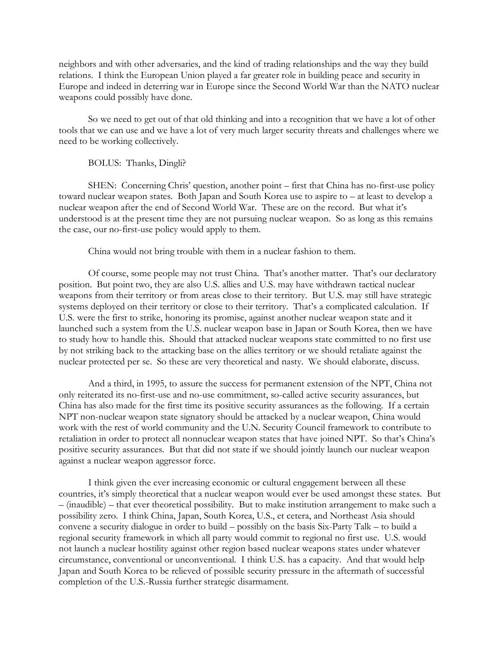neighbors and with other adversaries, and the kind of trading relationships and the way they build relations. I think the European Union played a far greater role in building peace and security in Europe and indeed in deterring war in Europe since the Second World War than the NATO nuclear weapons could possibly have done.

So we need to get out of that old thinking and into a recognition that we have a lot of other tools that we can use and we have a lot of very much larger security threats and challenges where we need to be working collectively.

#### BOLUS: Thanks, Dingli?

SHEN: Concerning Chris' question, another point – first that China has no-first-use policy toward nuclear weapon states. Both Japan and South Korea use to aspire to – at least to develop a nuclear weapon after the end of Second World War. These are on the record. But what it's understood is at the present time they are not pursuing nuclear weapon. So as long as this remains the case, our no-first-use policy would apply to them.

China would not bring trouble with them in a nuclear fashion to them.

Of course, some people may not trust China. That's another matter. That's our declaratory position. But point two, they are also U.S. allies and U.S. may have withdrawn tactical nuclear weapons from their territory or from areas close to their territory. But U.S. may still have strategic systems deployed on their territory or close to their territory. That's a complicated calculation. If U.S. were the first to strike, honoring its promise, against another nuclear weapon state and it launched such a system from the U.S. nuclear weapon base in Japan or South Korea, then we have to study how to handle this. Should that attacked nuclear weapons state committed to no first use by not striking back to the attacking base on the allies territory or we should retaliate against the nuclear protected per se. So these are very theoretical and nasty. We should elaborate, discuss.

And a third, in 1995, to assure the success for permanent extension of the NPT, China not only reiterated its no-first-use and no-use commitment, so-called active security assurances, but China has also made for the first time its positive security assurances as the following. If a certain NPT non-nuclear weapon state signatory should be attacked by a nuclear weapon, China would work with the rest of world community and the U.N. Security Council framework to contribute to retaliation in order to protect all nonnuclear weapon states that have joined NPT. So that's China's positive security assurances. But that did not state if we should jointly launch our nuclear weapon against a nuclear weapon aggressor force.

I think given the ever increasing economic or cultural engagement between all these countries, it's simply theoretical that a nuclear weapon would ever be used amongst these states. But – (inaudible) – that ever theoretical possibility. But to make institution arrangement to make such a possibility zero. I think China, Japan, South Korea, U.S., et cetera, and Northeast Asia should convene a security dialogue in order to build – possibly on the basis Six-Party Talk – to build a regional security framework in which all party would commit to regional no first use. U.S. would not launch a nuclear hostility against other region based nuclear weapons states under whatever circumstance, conventional or unconventional. I think U.S. has a capacity. And that would help Japan and South Korea to be relieved of possible security pressure in the aftermath of successful completion of the U.S.-Russia further strategic disarmament.